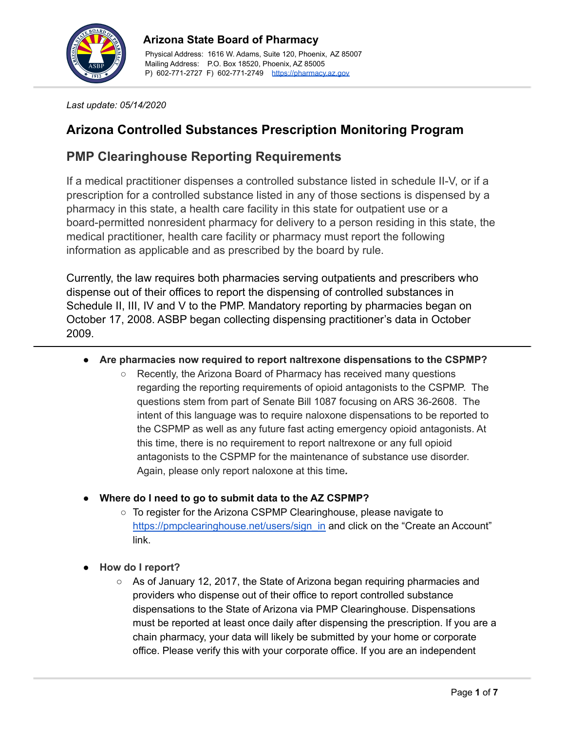

# **Arizona State Board of Pharmacy**

Physical Address: 1616 W. Adams, Suite 120, Phoenix, AZ 85007 Mailing Address: P.O. Box 18520, Phoenix, AZ 85005 P) 602-771-2727 F) 602-771-2749 <https://pharmacy.az.gov>

*Last update: 05/14/2020*

# **Arizona Controlled Substances Prescription Monitoring Program**

# **PMP Clearinghouse Reporting Requirements**

If a medical practitioner dispenses a controlled substance listed in schedule II-V, or if a prescription for a controlled substance listed in any of those sections is dispensed by a pharmacy in this state, a health care facility in this state for outpatient use or a board-permitted nonresident pharmacy for delivery to a person residing in this state, the medical practitioner, health care facility or pharmacy must report the following information as applicable and as prescribed by the board by rule.

Currently, the law requires both pharmacies serving outpatients and prescribers who dispense out of their offices to report the dispensing of controlled substances in Schedule II, III, IV and V to the PMP. Mandatory reporting by pharmacies began on October 17, 2008. ASBP began collecting dispensing practitioner's data in October 2009.

## **● Are pharmacies now required to report naltrexone dispensations to the CSPMP?**

- **○** Recently, the Arizona Board of Pharmacy has received many questions regarding the reporting requirements of opioid antagonists to the CSPMP. The questions stem from part of Senate Bill 1087 focusing on ARS 36-2608. The intent of this language was to require naloxone dispensations to be reported to the CSPMP as well as any future fast acting emergency opioid antagonists. At this time, there is no requirement to report naltrexone or any full opioid antagonists to the CSPMP for the maintenance of substance use disorder. Again, please only report naloxone at this time*.*
- **● Where do I need to go to submit data to the AZ CSPMP?**
	- **○** To register for the Arizona CSPMP Clearinghouse, please navigate to [https://pmpclearinghouse.net/users/sign\\_in](https://pmpclearinghouse.net/users/sign_in) and click on the "Create an Account" link.
- **● How do I report?**
	- As of January 12, 2017, the State of Arizona began requiring pharmacies and providers who dispense out of their office to report controlled substance dispensations to the State of Arizona via PMP Clearinghouse. Dispensations must be reported at least once daily after dispensing the prescription. If you are a chain pharmacy, your data will likely be submitted by your home or corporate office. Please verify this with your corporate office. If you are an independent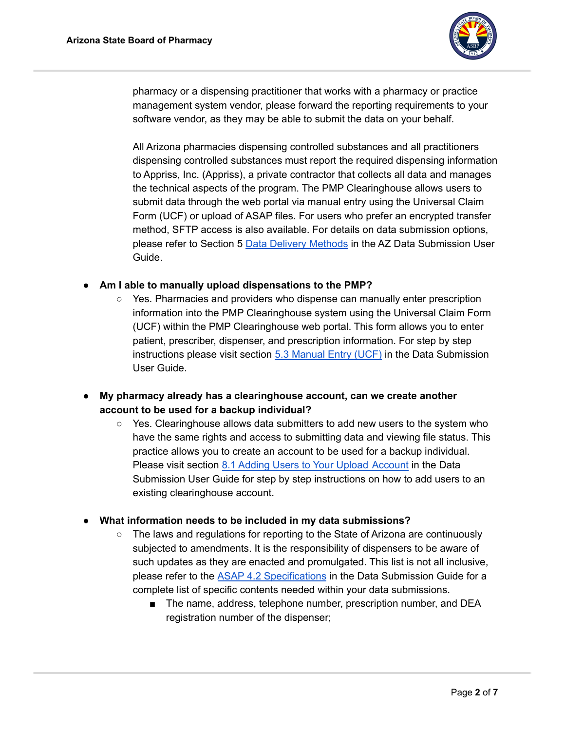

pharmacy or a dispensing practitioner that works with a pharmacy or practice management system vendor, please forward the reporting requirements to your software vendor, as they may be able to submit the data on your behalf.

All Arizona pharmacies dispensing controlled substances and all practitioners dispensing controlled substances must report the required dispensing information to Appriss, Inc. (Appriss), a private contractor that collects all data and manages the technical aspects of the program. The PMP Clearinghouse allows users to submit data through the web portal via manual entry using the Universal Claim Form (UCF) or upload of ASAP files. For users who prefer an encrypted transfer method, SFTP access is also available. For details on data submission options, please refer to Section 5 Data Delivery [Methods](https://documentcloud.adobe.com/link/track?uri=urn:aaid:scds:US:a629f11f-a086-4276-8c66-9be6cb4cbea2) in the AZ Data Submission User Guide.

- **Am I able to manually upload dispensations to the PMP?**
	- Yes. Pharmacies and providers who dispense can manually enter prescription information into the PMP Clearinghouse system using the Universal Claim Form (UCF) within the PMP Clearinghouse web portal. This form allows you to enter patient, prescriber, dispenser, and prescription information. For step by step instructions please visit section 5.3 [Manual](https://documentcloud.adobe.com/link/track?uri=urn%3Aaaid%3Ascds%3AUS%3Ab218eb78-311b-4b49-a693-8b4160b9fc23) Entry (UCF) in the Data Submission User Guide.
- **● My pharmacy already has a clearinghouse account, can we create another account to be used for a backup individual?**
	- Yes. Clearinghouse allows data submitters to add new users to the system who have the same rights and access to submitting data and viewing file status. This practice allows you to create an account to be used for a backup individual. Please visit section 8.1 Adding Users to Your Upload [Account](https://documentcloud.adobe.com/link/track?uri=urn%3Aaaid%3Ascds%3AUS%3Acee76867-3adc-47df-abd6-81f190f6f35f) in the Data Submission User Guide for step by step instructions on how to add users to an existing clearinghouse account.

#### **● What information needs to be included in my data submissions?**

- The laws and regulations for reporting to the State of Arizona are continuously subjected to amendments. It is the responsibility of dispensers to be aware of such updates as they are enacted and promulgated. This list is not all inclusive, please refer to the ASAP 4.2 [Specifications](https://documentcloud.adobe.com/link/track?uri=urn%3Aaaid%3Ascds%3AUS%3A756aed08-9e27-4fcb-adce-dd17b2f2d928) in the Data Submission Guide for a complete list of specific contents needed within your data submissions.
	- The name, address, telephone number, prescription number, and DEA registration number of the dispenser;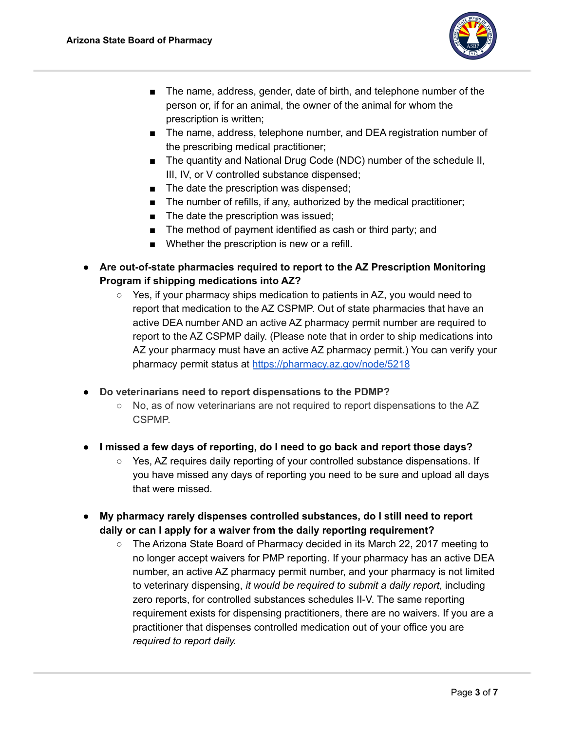

- The name, address, gender, date of birth, and telephone number of the person or, if for an animal, the owner of the animal for whom the prescription is written;
- The name, address, telephone number, and DEA registration number of the prescribing medical practitioner;
- The quantity and National Drug Code (NDC) number of the schedule II, III, IV, or V controlled substance dispensed;
- The date the prescription was dispensed;
- The number of refills, if any, authorized by the medical practitioner;
- The date the prescription was issued;
- The method of payment identified as cash or third party; and
- Whether the prescription is new or a refill.
- **● Are out-of-state pharmacies required to report to the AZ Prescription Monitoring Program if shipping medications into AZ?**
	- $\circ$  Yes, if your pharmacy ships medication to patients in AZ, you would need to report that medication to the AZ CSPMP. Out of state pharmacies that have an active DEA number AND an active AZ pharmacy permit number are required to report to the AZ CSPMP daily. (Please note that in order to ship medications into AZ your pharmacy must have an active AZ pharmacy permit.) You can verify your pharmacy permit status at <https://pharmacy.az.gov/node/5218>
- **● Do veterinarians need to report dispensations to the PDMP?**
	- **○** No, as of now veterinarians are not required to report dispensations to the AZ CSPMP.
- **I missed a few days of reporting, do I need to go back and report those days?**
	- Yes, AZ requires daily reporting of your controlled substance dispensations. If you have missed any days of reporting you need to be sure and upload all days that were missed.
- **● My pharmacy rarely dispenses controlled substances, do I still need to report daily or can I apply for a waiver from the daily reporting requirement?**
	- The Arizona State Board of Pharmacy decided in its March 22, 2017 meeting to no longer accept waivers for PMP reporting. If your pharmacy has an active DEA number, an active AZ pharmacy permit number, and your pharmacy is not limited to veterinary dispensing, *it would be required to submit a daily report*, including zero reports, for controlled substances schedules II-V. The same reporting requirement exists for dispensing practitioners, there are no waivers. If you are a practitioner that dispenses controlled medication out of your office you are *required to report daily.*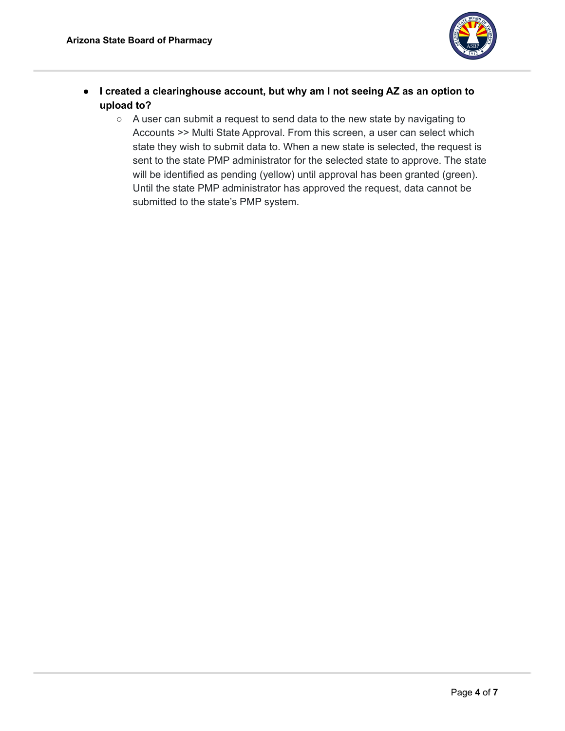

- **I created a clearinghouse account, but why am I not seeing AZ as an option to upload to?**
	- A user can submit a request to send data to the new state by navigating to Accounts >> Multi State Approval. From this screen, a user can select which state they wish to submit data to. When a new state is selected, the request is sent to the state PMP administrator for the selected state to approve. The state will be identified as pending (yellow) until approval has been granted (green). Until the state PMP administrator has approved the request, data cannot be submitted to the state's PMP system.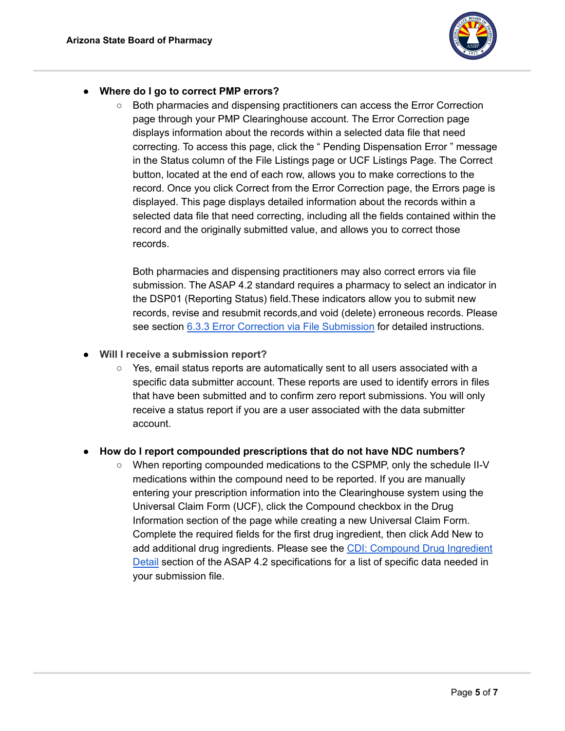

## **● Where do I go to correct PMP errors?**

**○** Both pharmacies and dispensing practitioners can access the Error Correction page through your PMP Clearinghouse account. The Error Correction page displays information about the records within a selected data file that need correcting. To access this page, click the " Pending Dispensation Error " message in the Status column of the File Listings page or UCF Listings Page. The Correct button, located at the end of each row, allows you to make corrections to the record. Once you click Correct from the Error Correction page, the Errors page is displayed. This page displays detailed information about the records within a selected data file that need correcting, including all the fields contained within the record and the originally submitted value, and allows you to correct those records.

Both pharmacies and dispensing practitioners may also correct errors via file submission. The ASAP 4.2 standard requires a pharmacy to select an indicator in the DSP01 (Reporting Status) field.These indicators allow you to submit new records, revise and resubmit records,and void (delete) erroneous records. Please see section 6.3.3 Error Correction via File [Submission](https://documentcloud.adobe.com/link/track?uri=urn%3Aaaid%3Ascds%3AUS%3Ad93c7f9f-2c0c-4ead-8788-5780bf7d5d9f) for detailed instructions.

- **● Will I receive a submission report?**
	- $\circ$  Yes, email status reports are automatically sent to all users associated with a specific data submitter account. These reports are used to identify errors in files that have been submitted and to confirm zero report submissions. You will only receive a status report if you are a user associated with the data submitter account.

## **● How do I report compounded prescriptions that do not have NDC numbers?**

**○** When reporting compounded medications to the CSPMP, only the schedule II-V medications within the compound need to be reported. If you are manually entering your prescription information into the Clearinghouse system using the Universal Claim Form (UCF), click the Compound checkbox in the Drug Information section of the page while creating a new Universal Claim Form. Complete the required fields for the first drug ingredient, then click Add New to add additional drug ingredients. Please see the CDI: [Compound](https://documentcloud.adobe.com/link/track?uri=urn%3Aaaid%3Ascds%3AUS%3Af5449e22-bf2d-4b4a-9779-bf577fa93041) Drug Ingredient [Detail](https://documentcloud.adobe.com/link/track?uri=urn%3Aaaid%3Ascds%3AUS%3Af5449e22-bf2d-4b4a-9779-bf577fa93041) section of the ASAP 4.2 specifications for a list of specific data needed in your submission file.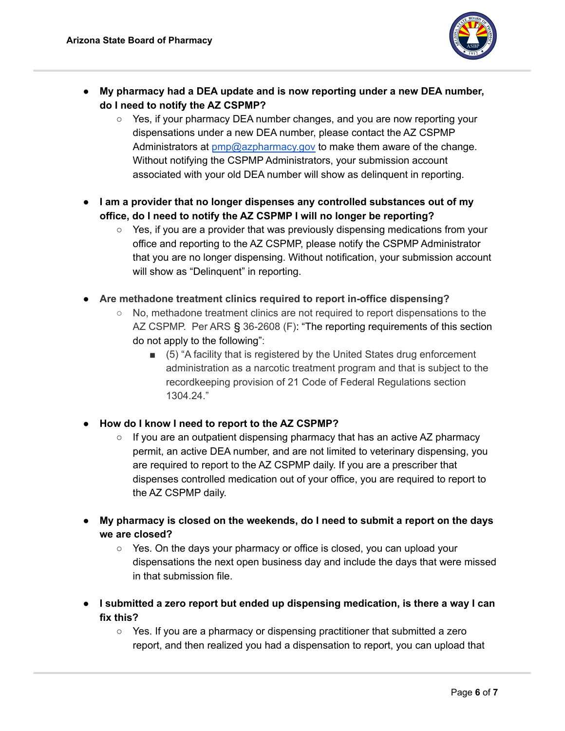

- **● My pharmacy had a DEA update and is now reporting under a new DEA number, do I need to notify the AZ CSPMP?**
	- Yes, if your pharmacy DEA number changes, and you are now reporting your dispensations under a new DEA number, please contact the AZ CSPMP Administrators at [pmp@azpharmacy.gov](mailto:pmp@azpharmacy.gov) to make them aware of the change. Without notifying the CSPMP Administrators, your submission account associated with your old DEA number will show as delinquent in reporting.
- **● I am a provider that no longer dispenses any controlled substances out of my office, do I need to notify the AZ CSPMP I will no longer be reporting?**
	- $\circ$  Yes, if you are a provider that was previously dispensing medications from your office and reporting to the AZ CSPMP, please notify the CSPMP Administrator that you are no longer dispensing. Without notification, your submission account will show as "Delinquent" in reporting.
- **● Are methadone treatment clinics required to report in-office dispensing?**
	- No, methadone treatment clinics are not required to report dispensations to the AZ CSPMP. Per ARS § 36-2608 (F): "The reporting requirements of this section do not apply to the following":
		- (5) "A facility that is registered by the United States drug enforcement administration as a narcotic treatment program and that is subject to the recordkeeping provision of 21 Code of Federal Regulations section 1304.24."
- **● How do I know I need to report to the AZ CSPMP?**
	- $\circ$  If you are an outpatient dispensing pharmacy that has an active AZ pharmacy permit, an active DEA number, and are not limited to veterinary dispensing, you are required to report to the AZ CSPMP daily. If you are a prescriber that dispenses controlled medication out of your office, you are required to report to the AZ CSPMP daily.
- **● My pharmacy is closed on the weekends, do I need to submit a report on the days we are closed?**
	- Yes. On the days your pharmacy or office is closed, you can upload your dispensations the next open business day and include the days that were missed in that submission file.
- **● I submitted a zero report but ended up dispensing medication, is there a way I can fix this?**
	- Yes. If you are a pharmacy or dispensing practitioner that submitted a zero report, and then realized you had a dispensation to report, you can upload that